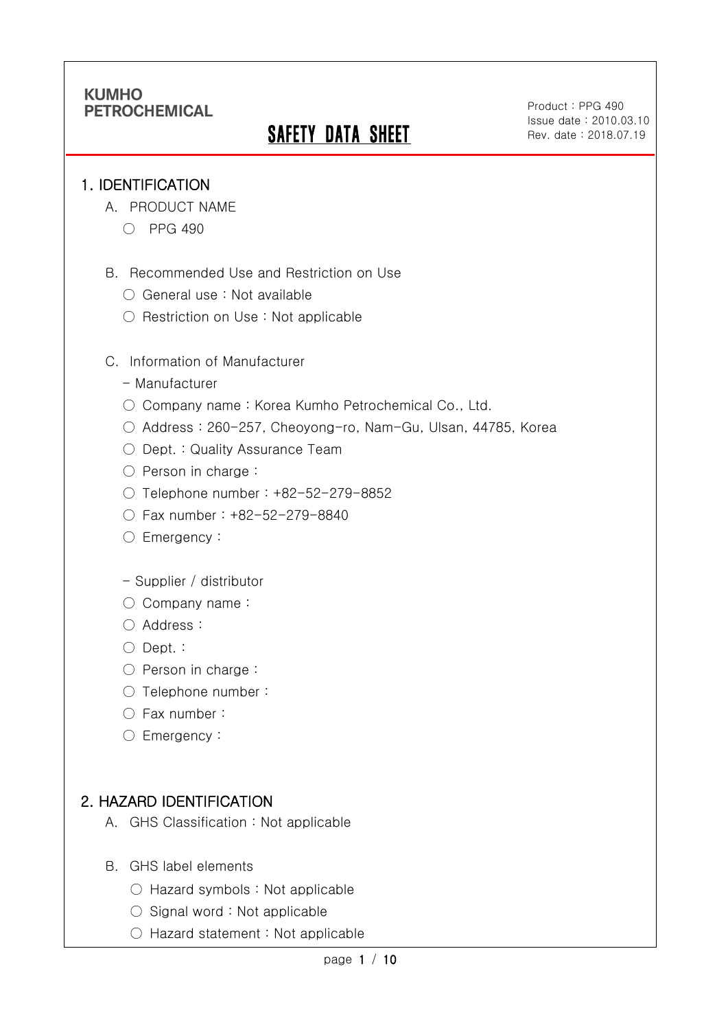# **SAFETY DATA SHEET**

Product : PPG 490 Issue date : 2010.03.10 Rev. date : 2018.07.19

.

#### 1. IDENTIFICATION

Ī

- A. PRODUCT NAME
	- PPG 490
- B. Recommended Use and Restriction on Use
	- General use : Not available
	- Restriction on Use : Not applicable
- C. Information of Manufacturer
	- Manufacturer
	- Company name: Korea Kumho Petrochemical Co., Ltd.
	- Address : 260-257, Cheoyong-ro, Nam-Gu, Ulsan, 44785, Korea
	- Dept. : Quality Assurance Team
	- Person in charge :
	- Telephone number : +82-52-279-8852
	- Fax number : +82-52-279-8840
	- Emergency:
	- Supplier / distributor
	- Company name:
	- Address :
	- Dept. :
	- Person in charge :
	- Telephone number :
	- Fax number :
	- Emergency:

### 2. HAZARD IDENTIFICATION

- A. GHS Classification : Not applicable
- B. GHS label elements
	- Hazard symbols : Not applicable
	- Signal word : Not applicable
	- Hazard statement : Not applicable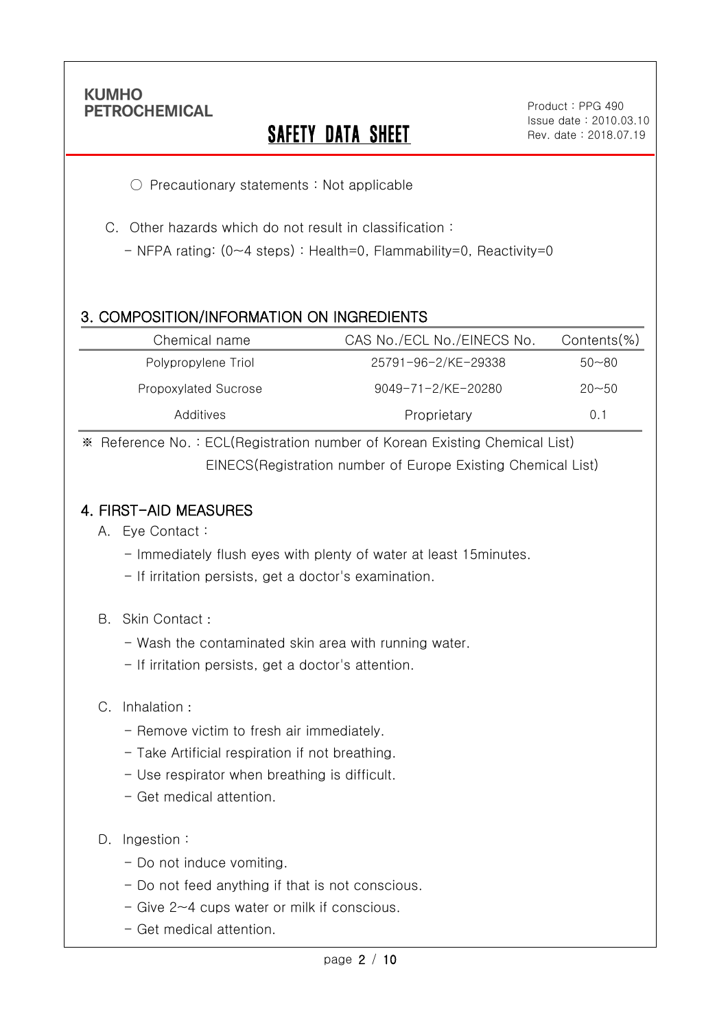Ī

# **SAFETY DATA SHEET**

Product : PPG 490 Issue date : 2010.03.10 Rev. date : 2018.07.19

.

○ Precautionary statements : Not applicable

C. Other hazards which do not result in classification :

- NFPA rating: (0~4 steps) : Health=0, Flammability=0, Reactivity=0

### 3. COMPOSITION/INFORMATION ON INGREDIENTS

| Chemical name        | CAS No./ECL No./EINECS No. | Contents(%) |
|----------------------|----------------------------|-------------|
| Polypropylene Triol  | 25791-96-2/KE-29338        | $50 - 80$   |
| Propoxylated Sucrose | 9049-71-2/KE-20280         | $20 - 50$   |
| Additives            | Proprietary                | 0.1         |

※ Reference No. : ECL(Registration number of Korean Existing Chemical List) EINECS(Registration number of Europe Existing Chemical List)

#### 4. FIRST-AID MEASURES

- A. Eye Contact :
	- Immediately flush eyes with plenty of water at least 15minutes.
	- If irritation persists, get a doctor's examination.
- B. Skin Contact :
	- Wash the contaminated skin area with running water.
	- If irritation persists, get a doctor's attention.
- C. Inhalation :
	- Remove victim to fresh air immediately.
	- Take Artificial respiration if not breathing.
	- Use respirator when breathing is difficult.
	- Get medical attention.
- D. Ingestion:
	- Do not induce vomiting.
	- Do not feed anything if that is not conscious.
	- Give 2~4 cups water or milk if conscious.
	- Get medical attention.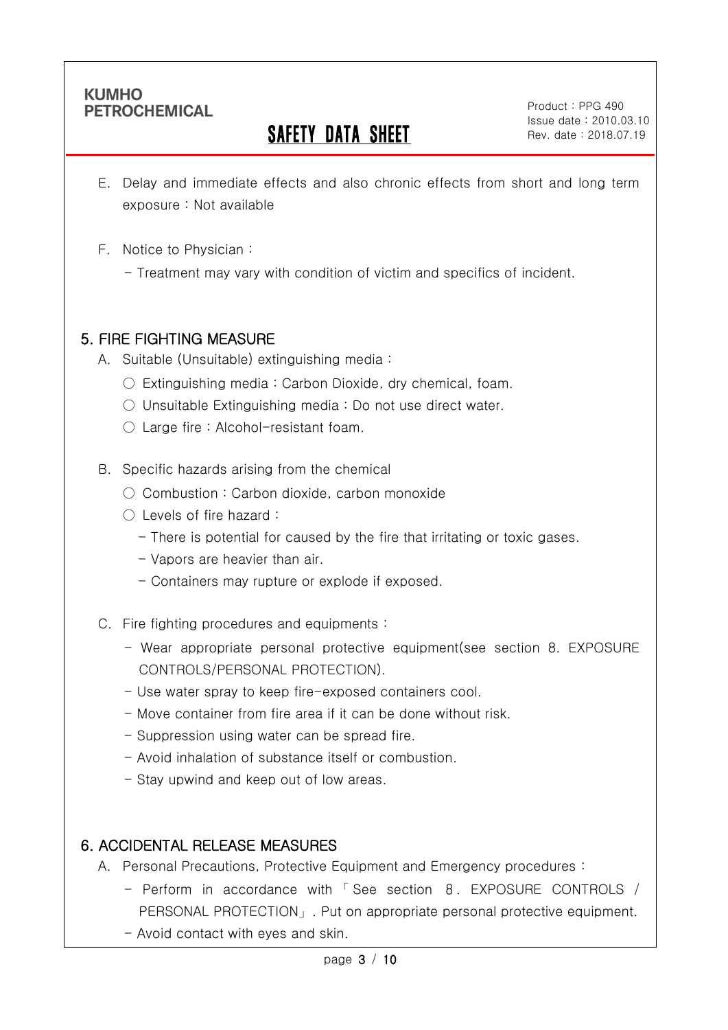Ī

# **SAFETY DATA SHEET**

Product : PPG 490 Issue date : 2010.03.10 Rev. date : 2018.07.19

.

- E. Delay and immediate effects and also chronic effects from short and long term exposure : Not available
- F. Notice to Physician :
	- Treatment may vary with condition of victim and specifics of incident.

#### 5. FIRE FIGHTING MEASURE

- A. Suitable (Unsuitable) extinguishing media :
	- $\circ$  Extinguishing media : Carbon Dioxide, dry chemical, foam.
	- $\circ$  Unsuitable Extinguishing media : Do not use direct water.
	- Large fire : Alcohol-resistant foam.

#### B. Specific hazards arising from the chemical

- Combustion: Carbon dioxide, carbon monoxide
- Levels of fire hazard :
	- There is potential for caused by the fire that irritating or toxic gases.
	- Vapors are heavier than air.
	- Containers may rupture or explode if exposed.
- C. Fire fighting procedures and equipments :
	- Wear appropriate personal protective equipment(see section 8. EXPOSURE CONTROLS/PERSONAL PROTECTION).
	- Use water spray to keep fire-exposed containers cool.
	- Move container from fire area if it can be done without risk.
	- Suppression using water can be spread fire.
	- Avoid inhalation of substance itself or combustion.
	- Stay upwind and keep out of low areas.

### 6. ACCIDENTAL RELEASE MEASURES

- A. Personal Precautions, Protective Equipment and Emergency procedures :
	- Perform in accordance with 「 See section 8. EXPOSURE CONTROLS / PERSONAL PROTECTION」. Put on appropriate personal protective equipment.
	- Avoid contact with eyes and skin.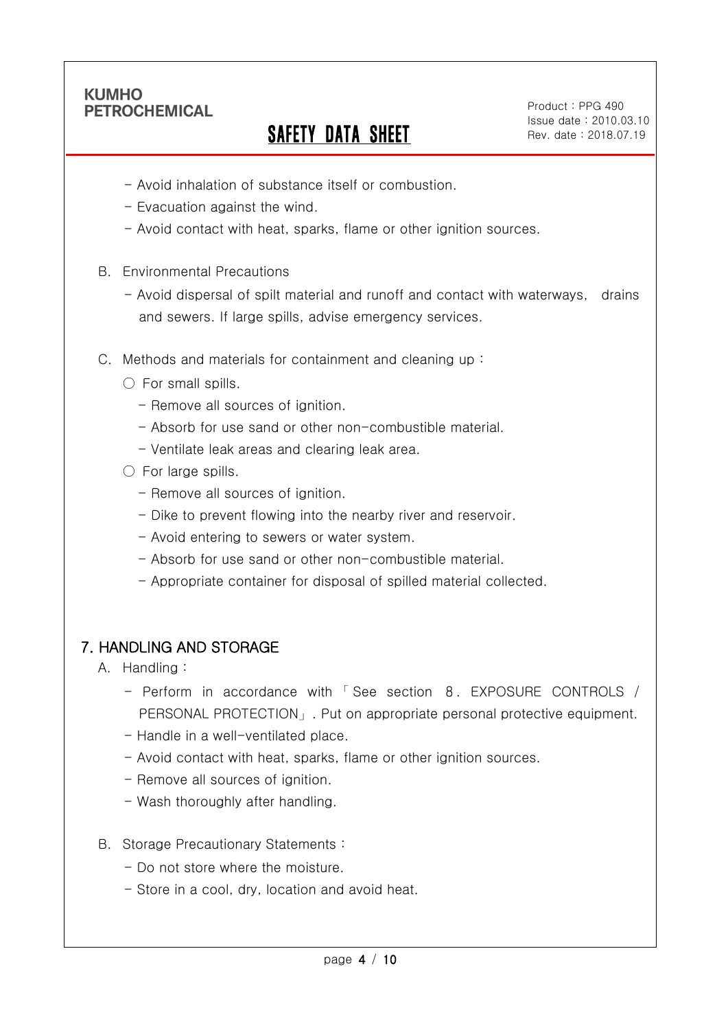Ī

# **SAFETY DATA SHEET**

Product : PPG 490 Issue date : 2010.03.10 Rev. date : 2018.07.19

.

- Avoid inhalation of substance itself or combustion.
- Evacuation against the wind.
- Avoid contact with heat, sparks, flame or other ignition sources.
- B. Environmental Precautions
	- Avoid dispersal of spilt material and runoff and contact with waterways, drains and sewers. If large spills, advise emergency services.
- C. Methods and materials for containment and cleaning up :
	- $\bigcirc$  For small spills.
		- Remove all sources of ignition.
		- Absorb for use sand or other non-combustible material.
		- Ventilate leak areas and clearing leak area.
	- $\circlearrowright$  For large spills.
		- Remove all sources of ignition.
		- Dike to prevent flowing into the nearby river and reservoir.
		- Avoid entering to sewers or water system.
		- Absorb for use sand or other non-combustible material.
		- Appropriate container for disposal of spilled material collected.

#### 7. HANDLING AND STORAGE

- A. Handling :
	- Perform in accordance with 「 See section 8. EXPOSURE CONTROLS / PERSONAL PROTECTION」. Put on appropriate personal protective equipment.
	- Handle in a well-ventilated place.
	- Avoid contact with heat, sparks, flame or other ignition sources.
	- Remove all sources of ignition.
	- Wash thoroughly after handling.
- B. Storage Precautionary Statements :
	- Do not store where the moisture.
	- Store in a cool, dry, location and avoid heat.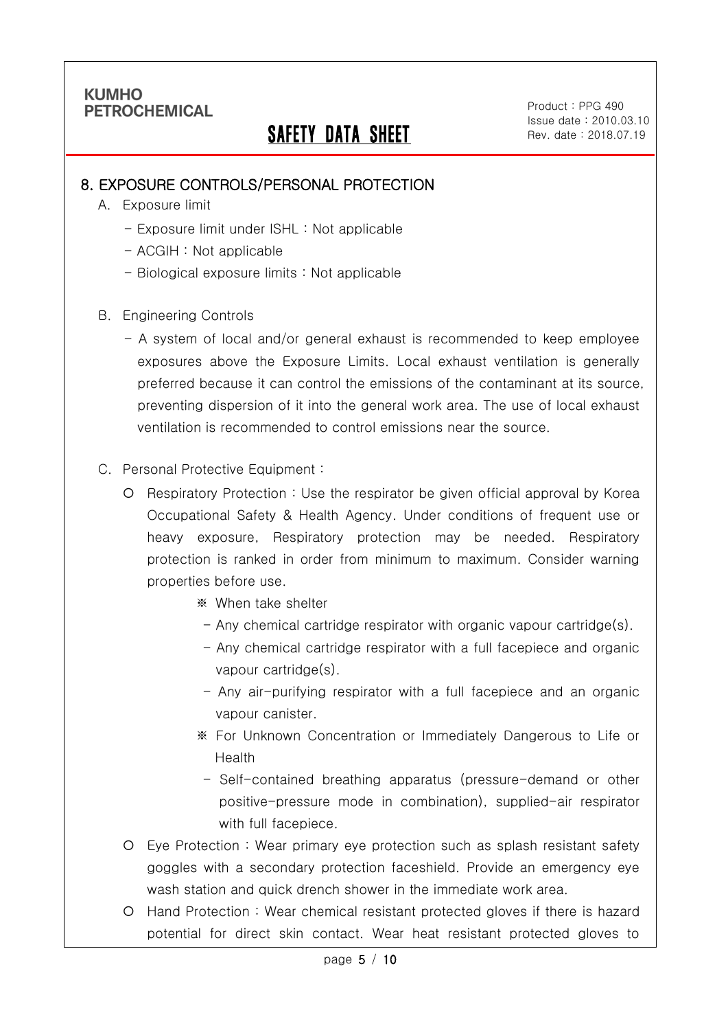Ī

## SAFETY DATA SHEET

Product : PPG 490 Issue date : 2010.03.10 Rev. date : 2018.07.19

.

#### 8. EXPOSURE CONTROLS/PERSONAL PROTECTION

- A. Exposure limit
	- Exposure limit under ISHL : Not applicable
	- ACGIH : Not applicable
	- Biological exposure limits : Not applicable
- B. Engineering Controls
	- A system of local and/or general exhaust is recommended to keep employee exposures above the Exposure Limits. Local exhaust ventilation is generally preferred because it can control the emissions of the contaminant at its source, preventing dispersion of it into the general work area. The use of local exhaust ventilation is recommended to control emissions near the source.
- C. Personal Protective Equipment :
	- Respiratory Protection : Use the respirator be given official approval by Korea Occupational Safety & Health Agency. Under conditions of frequent use or heavy exposure, Respiratory protection may be needed. Respiratory protection is ranked in order from minimum to maximum. Consider warning properties before use.
		- ※ When take shelter
		- Any chemical cartridge respirator with organic vapour cartridge(s).
		- Any chemical cartridge respirator with a full facepiece and organic vapour cartridge(s).
		- Any air-purifying respirator with a full facepiece and an organic vapour canister.
		- ※ For Unknown Concentration or Immediately Dangerous to Life or Health
		- Self-contained breathing apparatus (pressure-demand or other positive-pressure mode in combination), supplied-air respirator with full facepiece.
	- Eye Protection : Wear primary eye protection such as splash resistant safety goggles with a secondary protection faceshield. Provide an emergency eye wash station and quick drench shower in the immediate work area.
	- Hand Protection : Wear chemical resistant protected gloves if there is hazard potential for direct skin contact. Wear heat resistant protected gloves to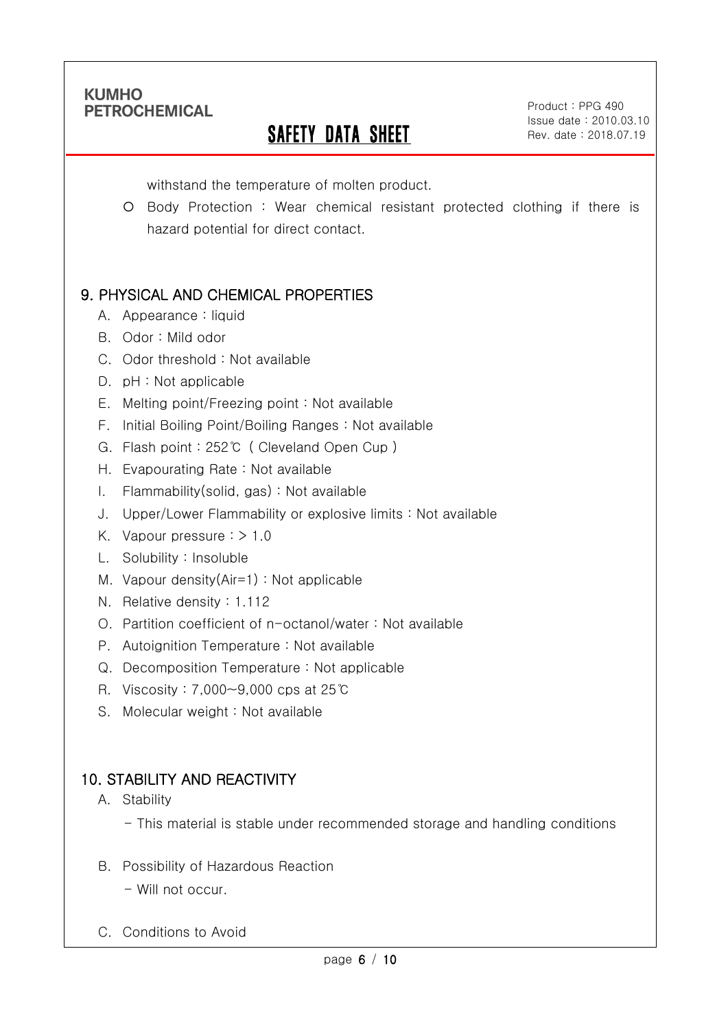Ī

# **SAFETY DATA SHEET**

Product : PPG 490 Issue date : 2010.03.10 Rev. date : 2018.07.19

.

withstand the temperature of molten product.

O Body Protection : Wear chemical resistant protected clothing if there is hazard potential for direct contact.

## 9. PHYSICAL AND CHEMICAL PROPERTIES

- A. Appearance : liquid
- B. Odor : Mild odor
- C. Odor threshold : Not available
- D. pH : Not applicable
- E. Melting point/Freezing point : Not available
- F. Initial Boiling Point/Boiling Ranges : Not available
- G. Flash point : 252℃ ( Cleveland Open Cup )
- H. Evapourating Rate : Not available
- I. Flammability(solid, gas) : Not available
- J. Upper/Lower Flammability or explosive limits : Not available
- K. Vapour pressure : > 1.0
- L. Solubility : Insoluble
- M. Vapour density(Air=1) : Not applicable
- N. Relative density : 1.112
- O. Partition coefficient of n-octanol/water : Not available
- P. Autoignition Temperature : Not available
- Q. Decomposition Temperature : Not applicable
- R. Viscosity : 7,000~9,000 cps at 25℃
- S. Molecular weight : Not available

## 10. STABILITY AND REACTIVITY

#### A. Stability

- This material is stable under recommended storage and handling conditions
- B. Possibility of Hazardous Reaction
	- Will not occur.
- C. Conditions to Avoid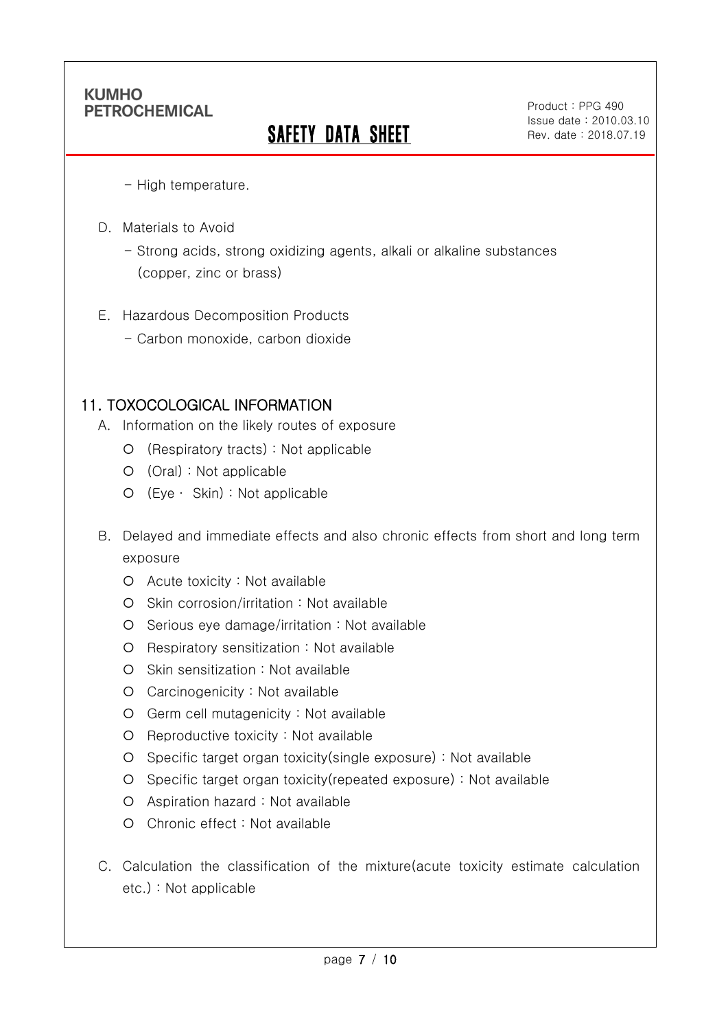Ī

# **SAFETY DATA SHEET**

Product : PPG 490 Issue date : 2010.03.10 Rev. date : 2018.07.19

.

- High temperature.

- D. Materials to Avoid
	- Strong acids, strong oxidizing agents, alkali or alkaline substances (copper, zinc or brass)
- E. Hazardous Decomposition Products
	- Carbon monoxide, carbon dioxide

### 11. TOXOCOLOGICAL INFORMATION

- A. Information on the likely routes of exposure
	- (Respiratory tracts) : Not applicable
	- (Oral) : Not applicable
	- (Eye ∙ Skin) : Not applicable
- B. Delayed and immediate effects and also chronic effects from short and long term exposure
	- Acute toxicity : Not available
	- O Skin corrosion/irritation : Not available
	- O Serious eye damage/irritation : Not available
	- Respiratory sensitization : Not available
	- O Skin sensitization : Not available
	- Carcinogenicity : Not available
	- Germ cell mutagenicity : Not available
	- O Reproductive toxicity : Not available
	- Specific target organ toxicity(single exposure) : Not available
	- Specific target organ toxicity(repeated exposure) : Not available
	- Aspiration hazard : Not available
	- Chronic effect : Not available
- C. Calculation the classification of the mixture(acute toxicity estimate calculation etc.) : Not applicable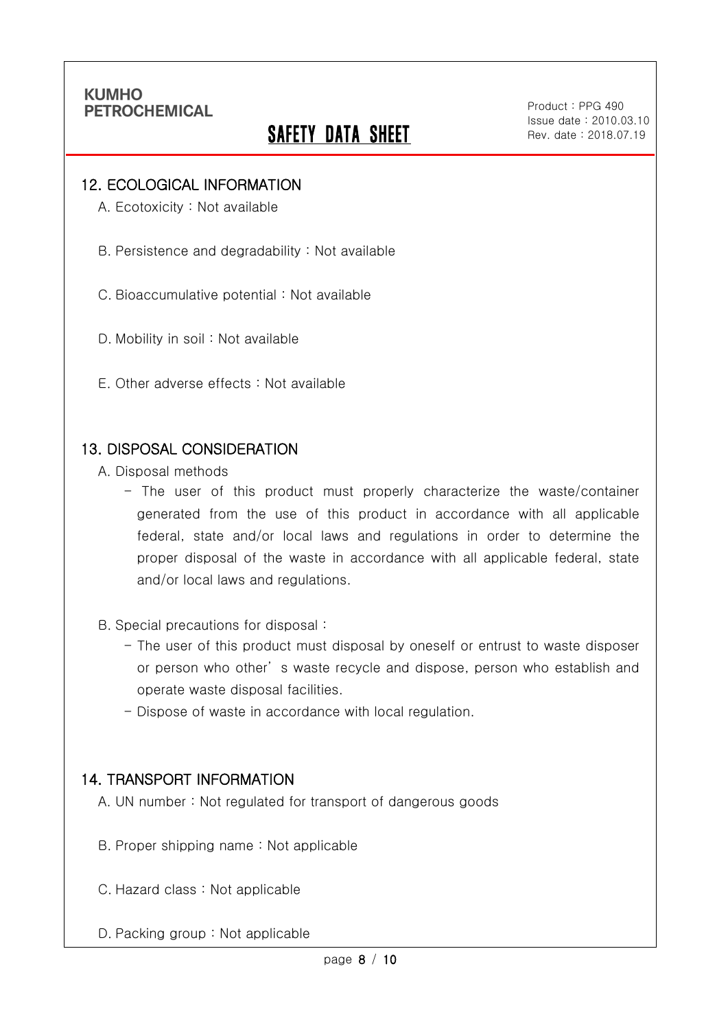Ī

## **SAFETY DATA SHEET**

Product : PPG 490 Issue date : 2010.03.10 Rev. date : 2018.07.19

.

#### 12. ECOLOGICAL INFORMATION

A. Ecotoxicity : Not available

B. Persistence and degradability : Not available

C. Bioaccumulative potential : Not available

D. Mobility in soil : Not available

E. Other adverse effects : Not available

#### 13. DISPOSAL CONSIDERATION

A. Disposal methods

- The user of this product must properly characterize the waste/container generated from the use of this product in accordance with all applicable federal, state and/or local laws and regulations in order to determine the proper disposal of the waste in accordance with all applicable federal, state and/or local laws and regulations.

B. Special precautions for disposal :

- The user of this product must disposal by oneself or entrust to waste disposer or person who other' s waste recycle and dispose, person who establish and operate waste disposal facilities.
- Dispose of waste in accordance with local regulation.

#### 14. TRANSPORT INFORMATION

A. UN number : Not regulated for transport of dangerous goods

- B. Proper shipping name : Not applicable
- C. Hazard class : Not applicable
- D. Packing group : Not applicable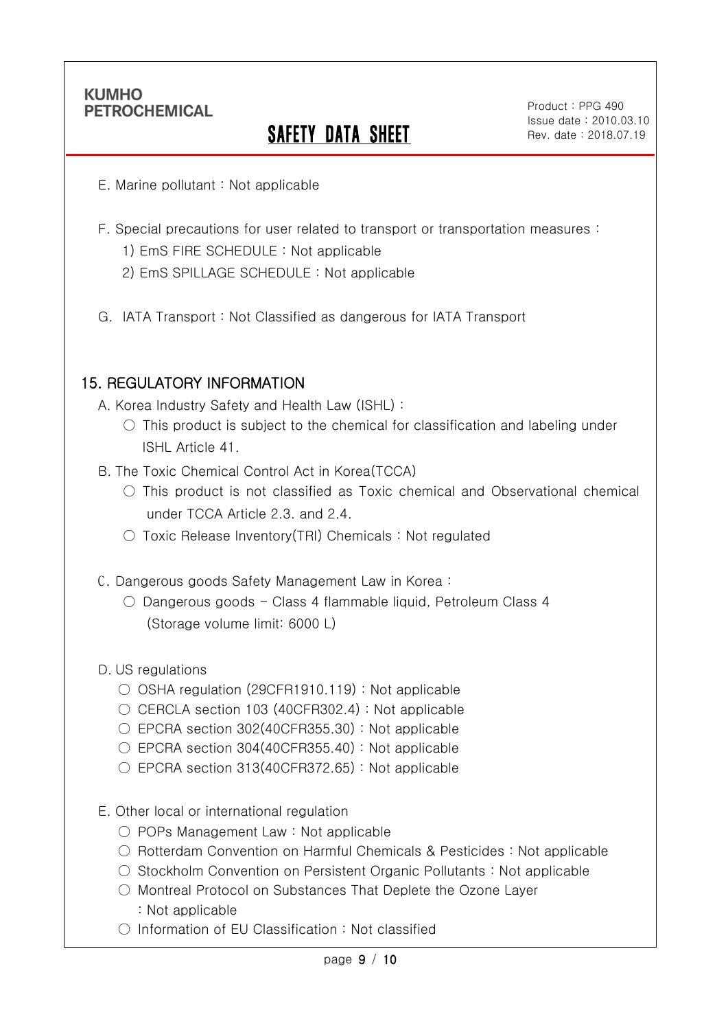Ī

# **SAFETY DATA SHEET**

Product : PPG 490 Issue date : 2010.03.10 Rev. date : 2018.07.19

.

- E. Marine pollutant : Not applicable
- F. Special precautions for user related to transport or transportation measures :
	- 1) EmS FIRE SCHEDULE : Not applicable
	- 2) EmS SPILLAGE SCHEDULE : Not applicable
- G. IATA Transport : Not Classified as dangerous for IATA Transport

### 15. REGULATORY INFORMATION

A. Korea Industry Safety and Health Law (ISHL) :

- $\circ$  This product is subject to the chemical for classification and labeling under ISHL Article 41.
- B. The Toxic Chemical Control Act in Korea(TCCA)
	- $\bigcirc$  This product is not classified as Toxic chemical and Observational chemical under TCCA Article 2.3. and 2.4.
	- Toxic Release Inventory(TRI) Chemicals : Not regulated
- C. Dangerous goods Safety Management Law in Korea :
	- Dangerous goods Class 4 flammable liquid, Petroleum Class 4 (Storage volume limit: 6000 L)

#### D. US regulations

- OSHA regulation (29CFR1910.119) : Not applicable
- CERCLA section 103 (40CFR302.4) : Not applicable
- EPCRA section 302(40CFR355.30): Not applicable
- $\circ$  EPCRA section 304(40CFR355.40) : Not applicable
- $\circ$  EPCRA section 313(40CFR372.65) : Not applicable
- E. Other local or international regulation
	- POPs Management Law : Not applicable
	- Rotterdam Convention on Harmful Chemicals & Pesticides : Not applicable
	- Stockholm Convention on Persistent Organic Pollutants : Not applicable
	- Montreal Protocol on Substances That Deplete the Ozone Layer : Not applicable
	- Information of EU Classification : Not classified